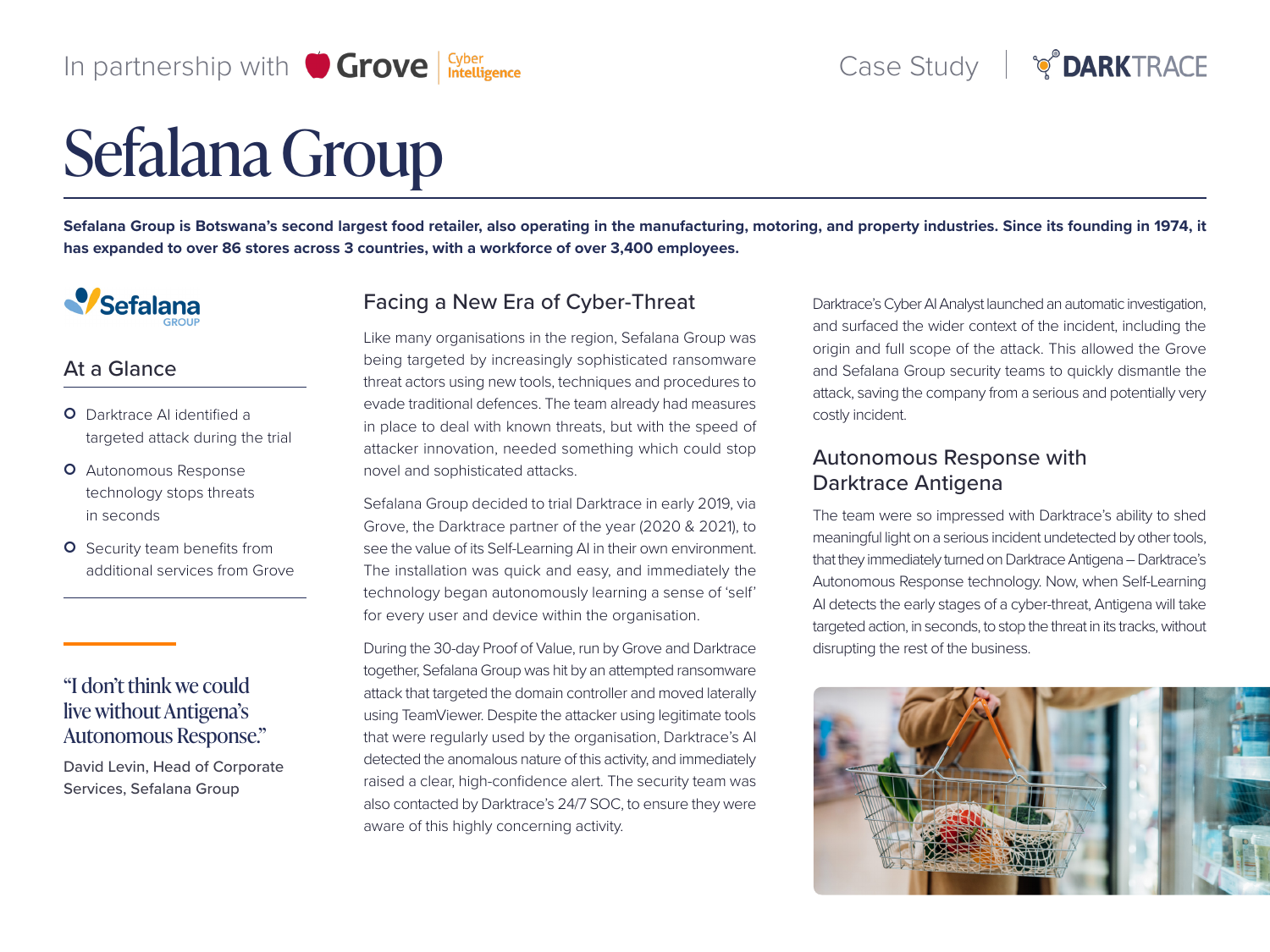# In partnership with  $\bigcirc$  Grove  $\big|\frac{cyber}{Intelligence}\big|$

# Sefalana Group

Sefalana Group is Botswana's second largest food retailer, also operating in the manufacturing, motoring, and property industries. Since its founding in 1974, it has expanded to over 86 stores across 3 countries, with a workforce of over 3,400 employees.



#### At a Glance

- **O** Darktrace AI identified a targeted attack during the trial
- **O** Autonomous Response technology stops threats seconds in
- **O** Security team benefits from additional services from Grove

# "I don't think we could live without Antigena's Autonomous Response."

David Levin, Head of Corporate Services, Sefalana Group

# Facing a New Era of Cyber-Threat

Like many organisations in the region, Sefalana Group was being targeted by increasingly sophisticated ransomware threat actors using new tools, techniques and procedures to evade traditional defences. The team already had measures in place to deal with known threats, but with the speed of attacker innovation, needed something which could stop novel and sophisticated attacks.

Sefalana Group decided to trial Darktrace in early 2019, via Grove, the Darktrace partner of the year (2020 & 2021), to see the value of its Self-Learning AI in their own environment. The installation was quick and easy, and immediately the technology began autonomously learning a sense of 'self' for every user and device within the organisation.

During the 30-day Proof of Value, run by Grove and Darktrace together, Sefalana Group was hit by an attempted ransomware attack that targeted the domain controller and moved laterally using TeamViewer. Despite the attacker using legitimate tools that were regularly used by the organisation, Darktrace's AI detected the anomalous nature of this activity, and immediately raised a clear, high-confidence alert. The security team was also contacted by Darktrace's 24/7 SOC, to ensure they were aware of this highly concerning activity.

Darktrace's Cyber AI Analyst launched an automatic investigation, and surfaced the wider context of the incident, including the origin and full scope of the attack. This allowed the Grove and Sefalana Group security teams to quickly dismantle the attack, saving the company from a serious and potentially very costly incident.

## Autonomous Response with Darktrace Antigena

The team were so impressed with Darktrace's ability to shed meaningful light on a serious incident undetected by other tools, that they immediately turned on Darktrace Antigena – Darktrace's Autonomous Response technology. Now, when Self-Learning AI detects the early stages of a cyber-threat, Antigena will take targeted action, in seconds, to stop the threat in its tracks, without disrupting the rest of the business.